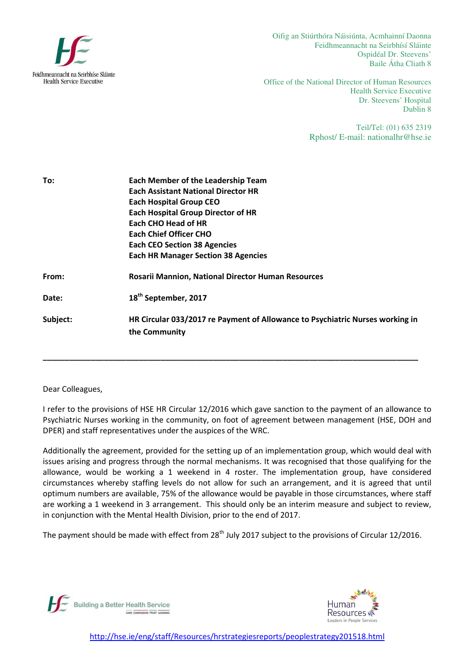

Oifig an Stiúrthóra Náisiúnta, Acmhainní Daonna Feidhmeannacht na Seirbhísí Sláinte Ospidéal Dr. Steevens' Baile Átha Cliath 8

Office of the National Director of Human Resources Health Service Executive Dr. Steevens' Hospital Dublin 8

> Teil/Tel: (01) 635 2319 Rphost/ E-mail: nationalhr@hse.ie

| To:      | <b>Each Member of the Leadership Team</b>                                     |
|----------|-------------------------------------------------------------------------------|
|          | <b>Each Assistant National Director HR</b>                                    |
|          | <b>Each Hospital Group CEO</b>                                                |
|          | <b>Each Hospital Group Director of HR</b>                                     |
|          | <b>Each CHO Head of HR</b>                                                    |
|          | <b>Each Chief Officer CHO</b>                                                 |
|          | <b>Each CEO Section 38 Agencies</b>                                           |
|          | <b>Each HR Manager Section 38 Agencies</b>                                    |
| From:    | Rosarii Mannion, National Director Human Resources                            |
| Date:    | 18 <sup>th</sup> September, 2017                                              |
| Subject: | HR Circular 033/2017 re Payment of Allowance to Psychiatric Nurses working in |
|          | the Community                                                                 |
|          |                                                                               |
|          |                                                                               |

Dear Colleagues,

I refer to the provisions of HSE HR Circular 12/2016 which gave sanction to the payment of an allowance to Psychiatric Nurses working in the community, on foot of agreement between management (HSE, DOH and DPER) and staff representatives under the auspices of the WRC.

Additionally the agreement, provided for the setting up of an implementation group, which would deal with issues arising and progress through the normal mechanisms. It was recognised that those qualifying for the allowance, would be working a 1 weekend in 4 roster. The implementation group, have considered circumstances whereby staffing levels do not allow for such an arrangement, and it is agreed that until optimum numbers are available, 75% of the allowance would be payable in those circumstances, where staff are working a 1 weekend in 3 arrangement. This should only be an interim measure and subject to review, in conjunction with the Mental Health Division, prior to the end of 2017.

The payment should be made with effect from  $28<sup>th</sup>$  July 2017 subject to the provisions of Circular 12/2016.